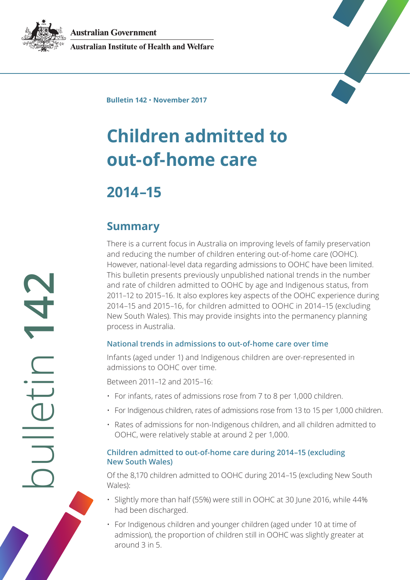**Australian Government** 



**Australian Institute of Health and Welfare** 



**Bulletin 142** • **November 2017**

# **Children admitted to out-of-home care**

# **2014–15**

### **Summary**

There is a current focus in Australia on improving levels of family preservation and reducing the number of children entering out-of-home care (OOHC). However, national-level data regarding admissions to OOHC have been limited. This bulletin presents previously unpublished national trends in the number and rate of children admitted to OOHC by age and Indigenous status, from 2011–12 to 2015–16. It also explores key aspects of the OOHC experience during 2014–15 and 2015–16, for children admitted to OOHC in 2014–15 (excluding New South Wales). This may provide insights into the permanency planning process in Australia.

#### **National trends in admissions to out-of-home care over time**

Infants (aged under 1) and Indigenous children are over-represented in admissions to OOHC over time.

Between 2011–12 and 2015–16:

- For infants, rates of admissions rose from 7 to 8 per 1,000 children.
- For Indigenous children, rates of admissions rose from 13 to 15 per 1,000 children.
- Rates of admissions for non-Indigenous children, and all children admitted to OOHC, were relatively stable at around 2 per 1,000.

#### **Children admitted to out-of-home care during 2014–15 (excluding New South Wales)**

Of the 8,170 children admitted to OOHC during 2014–15 (excluding New South Wales):

- Slightly more than half (55%) were still in OOHC at 30 June 2016, while 44% had been discharged.
- For Indigenous children and younger children (aged under 10 at time of admission), the proportion of children still in OOHC was slightly greater at around 3 in 5.

bulletin **142 CHLLG LIDE**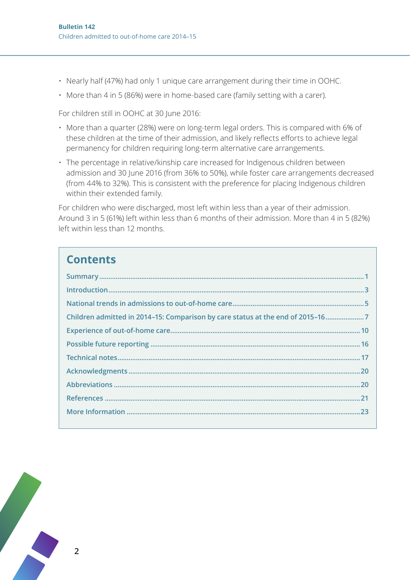- Nearly half (47%) had only 1 unique care arrangement during their time in OOHC.
- More than 4 in 5 (86%) were in home-based care (family setting with a carer).

For children still in OOHC at 30 June 2016:

- More than a quarter (28%) were on long-term legal orders. This is compared with 6% of these children at the time of their admission, and likely reflects efforts to achieve legal permanency for children requiring long-term alternative care arrangements.
- The percentage in relative/kinship care increased for Indigenous children between admission and 30 June 2016 (from 36% to 50%), while foster care arrangements decreased (from 44% to 32%). This is consistent with the preference for placing Indigenous children within their extended family.

For children who were discharged, most left within less than a year of their admission. Around 3 in 5 (61%) left within less than 6 months of their admission. More than 4 in 5 (82%) left within less than 12 months.

### **Contents**

| Children admitted in 2014-15: Comparison by care status at the end of 2015-167 |
|--------------------------------------------------------------------------------|
|                                                                                |
|                                                                                |
|                                                                                |
|                                                                                |
|                                                                                |
|                                                                                |
|                                                                                |

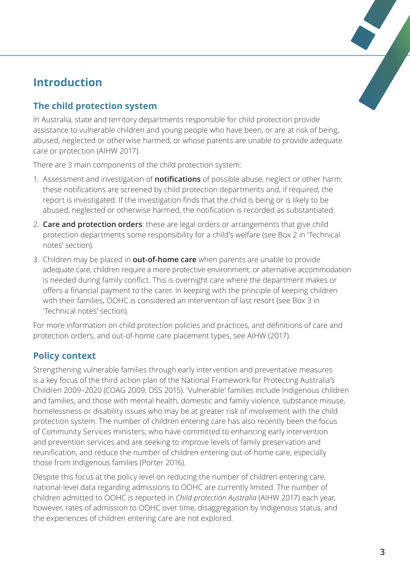## **Introduction**

### **The child protection system**

In Australia, state and territory departments responsible for child protection provide assistance to vulnerable children and young people who have been, or are at risk of being, abused, neglected or otherwise harmed, or whose parents are unable to provide adequate care or protection (AIHW 2017).

There are 3 main components of the child protection system:

- 1. Assessment and investigation of **notifications** of possible abuse, neglect or other harm: these notifications are screened by child protection departments and, if required, the report is investigated. If the investigation finds that the child is being or is likely to be abused, neglected or otherwise harmed, the notification is recorded as substantiated.
- 2. **Care and protection orders**: these are legal orders or arrangements that give child protection departments some responsibility for a child's welfare (see Box 2 in 'Technical notes' section).
- 3. Children may be placed in **out-of-home care** when parents are unable to provide adequate care, children require a more protective environment, or alternative accommodation is needed during family conflict. This is overnight care where the department makes or offers a financial payment to the carer. In keeping with the principle of keeping children with their families, OOHC is considered an intervention of last resort (see Box 3 in 'Technical notes' section).

For more information on child protection policies and practices, and definitions of care and protection orders, and out-of-home care placement types, see AIHW (2017).

### **Policy context**

Strengthening vulnerable families through early intervention and preventative measures is a key focus of the third action plan of the National Framework for Protecting Australia's Children 2009–2020 (COAG 2009; DSS 2015). 'Vulnerable' families include Indigenous children and families, and those with mental health, domestic and family violence, substance misuse, homelessness or disability issues who may be at greater risk of involvement with the child protection system. The number of children entering care has also recently been the focus of Community Services ministers; who have committed to enhancing early intervention and prevention services and are seeking to improve levels of family preservation and reunification, and reduce the number of children entering out-of-home care, especially those from Indigenous families (Porter 2016).

Despite this focus at the policy level on reducing the number of children entering care, national-level data regarding admissions to OOHC are currently limited. The number of children admitted to OOHC is reported in *Child protection Australia* (AIHW 2017) each year, however, rates of admission to OOHC over time, disaggregation by Indigenous status, and the experiences of children entering care are not explored.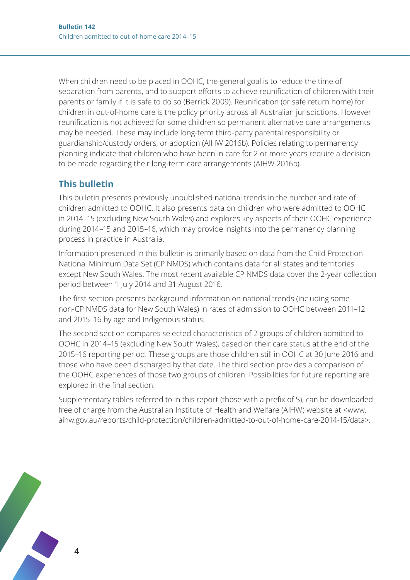When children need to be placed in OOHC, the general goal is to reduce the time of separation from parents, and to support efforts to achieve reunification of children with their parents or family if it is safe to do so (Berrick 2009). Reunification (or safe return home) for children in out-of-home care is the policy priority across all Australian jurisdictions. However reunification is not achieved for some children so permanent alternative care arrangements may be needed. These may include long-term third-party parental responsibility or guardianship/custody orders, or adoption (AIHW 2016b). Policies relating to permanency planning indicate that children who have been in care for 2 or more years require a decision to be made regarding their long-term care arrangements (AIHW 2016b).

### **This bulletin**

This bulletin presents previously unpublished national trends in the number and rate of children admitted to OOHC. It also presents data on children who were admitted to OOHC in 2014–15 (excluding New South Wales) and explores key aspects of their OOHC experience during 2014–15 and 2015–16, which may provide insights into the permanency planning process in practice in Australia.

Information presented in this bulletin is primarily based on data from the Child Protection National Minimum Data Set (CP NMDS) which contains data for all states and territories except New South Wales. The most recent available CP NMDS data cover the 2-year collection period between 1 July 2014 and 31 August 2016.

The first section presents background information on national trends (including some non-CP NMDS data for New South Wales) in rates of admission to OOHC between 2011–12 and 2015–16 by age and Indigenous status.

The second section compares selected characteristics of 2 groups of children admitted to OOHC in 2014–15 (excluding New South Wales), based on their care status at the end of the 2015–16 reporting period. These groups are those children still in OOHC at 30 June 2016 and those who have been discharged by that date. The third section provides a comparison of the OOHC experiences of those two groups of children. Possibilities for future reporting are explored in the final section.

Supplementary tables referred to in this report (those with a prefix of S), can be downloaded free of charge from the Australian Institute of Health and Welfare (AIHW) website at <www. aihw.gov.au/reports/child-protection/children-admitted-to-out-of-home-care-2014-15/data>.

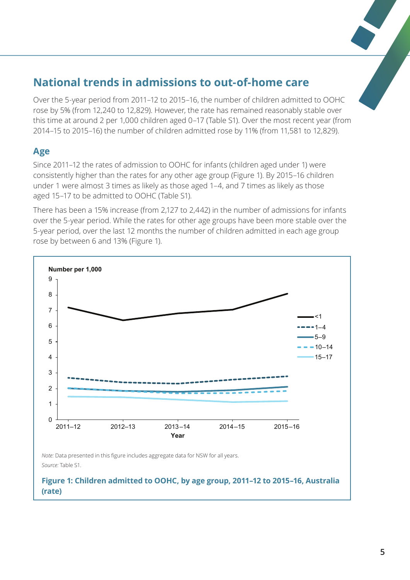# **National trends in admissions to out-of-home care**

Over the 5-year period from 2011–12 to 2015–16, the number of children admitted to OOHC rose by 5% (from 12,240 to 12,829). However, the rate has remained reasonably stable over this time at around 2 per 1,000 children aged 0–17 (Table S1). Over the most recent year (from 2014–15 to 2015–16) the number of children admitted rose by 11% (from 11,581 to 12,829).

#### **Age**

Since 2011–12 the rates of admission to OOHC for infants (children aged under 1) were consistently higher than the rates for any other age group (Figure 1). By 2015–16 children under 1 were almost 3 times as likely as those aged 1–4, and 7 times as likely as those aged 15–17 to be admitted to OOHC (Table S1).

There has been a 15% increase (from 2,127 to 2,442) in the number of admissions for infants over the 5-year period. While the rates for other age groups have been more stable over the 5-year period, over the last 12 months the number of children admitted in each age group rose by between 6 and 13% (Figure 1).



*Note:* Data presented in this figure includes aggregate data for NSW for all years. *Source:* Table S1.

**Figure 1: Children admitted to OOHC, by age group, 2011–12 to 2015–16, Australia (rate)**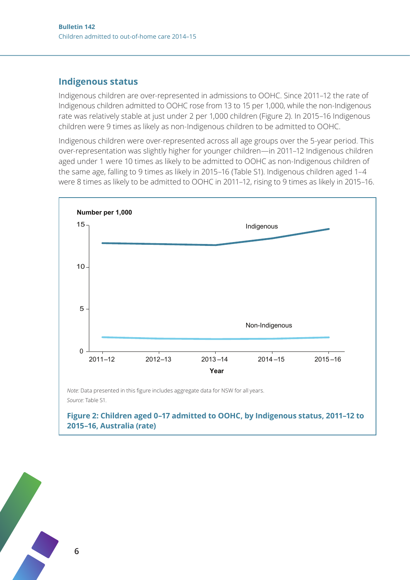#### **Indigenous status**

Indigenous children are over-represented in admissions to OOHC. Since 2011–12 the rate of Indigenous children admitted to OOHC rose from 13 to 15 per 1,000, while the non-Indigenous rate was relatively stable at just under 2 per 1,000 children (Figure 2). In 2015–16 Indigenous children were 9 times as likely as non-Indigenous children to be admitted to OOHC.

Indigenous children were over-represented across all age groups over the 5-year period. This over-representation was slightly higher for younger children—in 2011–12 Indigenous children aged under 1 were 10 times as likely to be admitted to OOHC as non-Indigenous children of the same age, falling to 9 times as likely in 2015–16 (Table S1). Indigenous children aged 1–4 were 8 times as likely to be admitted to OOHC in 2011–12, rising to 9 times as likely in 2015–16.



*Note:* Data presented in this figure includes aggregate data for NSW for all years. *Source:* Table S1.

#### **Figure 2: Children aged 0–17 admitted to OOHC, by Indigenous status, 2011–12 to 2015–16, Australia (rate)**

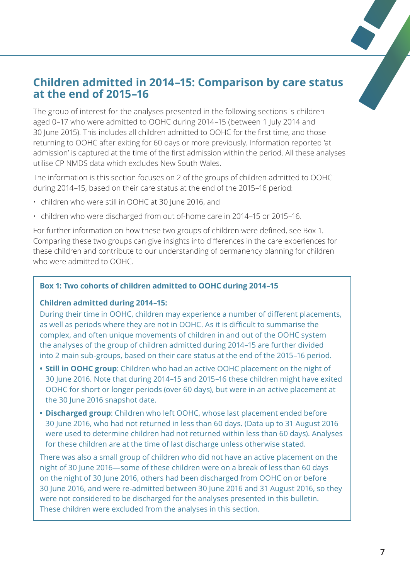### **Children admitted in 2014–15: Comparison by care status at the end of 2015–16**

The group of interest for the analyses presented in the following sections is children aged 0–17 who were admitted to OOHC during 2014–15 (between 1 July 2014 and 30 June 2015). This includes all children admitted to OOHC for the first time, and those returning to OOHC after exiting for 60 days or more previously. Information reported 'at admission' is captured at the time of the first admission within the period. All these analyses utilise CP NMDS data which excludes New South Wales.

The information is this section focuses on 2 of the groups of children admitted to OOHC during 2014–15, based on their care status at the end of the 2015–16 period:

- children who were still in OOHC at 30 June 2016, and
- children who were discharged from out of-home care in 2014–15 or 2015–16.

For further information on how these two groups of children were defined, see Box 1. Comparing these two groups can give insights into differences in the care experiences for these children and contribute to our understanding of permanency planning for children who were admitted to OOHC.

#### **Box 1: Two cohorts of children admitted to OOHC during 2014–15**

#### **Children admitted during 2014–15:**

During their time in OOHC, children may experience a number of different placements, as well as periods where they are not in OOHC. As it is difficult to summarise the complex, and often unique movements of children in and out of the OOHC system the analyses of the group of children admitted during 2014–15 are further divided into 2 main sub-groups, based on their care status at the end of the 2015–16 period.

- **• Still in OOHC group**: Children who had an active OOHC placement on the night of 30 June 2016. Note that during 2014–15 and 2015–16 these children might have exited OOHC for short or longer periods (over 60 days), but were in an active placement at the 30 June 2016 snapshot date.
- **• Discharged group**: Children who left OOHC, whose last placement ended before 30 June 2016, who had not returned in less than 60 days. (Data up to 31 August 2016 were used to determine children had not returned within less than 60 days). Analyses for these children are at the time of last discharge unless otherwise stated.

There was also a small group of children who did not have an active placement on the night of 30 June 2016—some of these children were on a break of less than 60 days on the night of 30 June 2016, others had been discharged from OOHC on or before 30 June 2016, and were re-admitted between 30 June 2016 and 31 August 2016, so they were not considered to be discharged for the analyses presented in this bulletin. These children were excluded from the analyses in this section.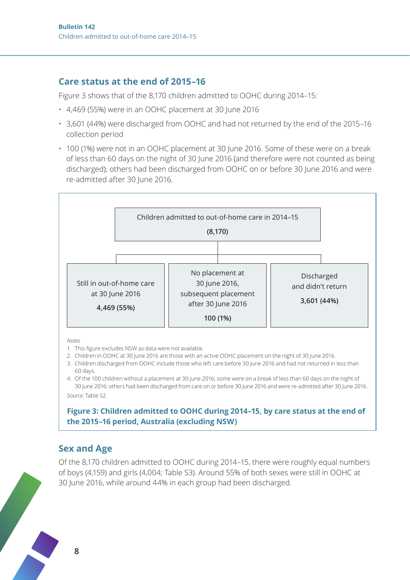#### **Care status at the end of 2015–16**

Figure 3 shows that of the 8,170 children admitted to OOHC during 2014–15:

- 4,469 (55%) were in an OOHC placement at 30 June 2016
- 3,601 (44%) were discharged from OOHC and had not returned by the end of the 2015–16 collection period
- 100 (1%) were not in an OOHC placement at 30 June 2016. Some of these were on a break of less than 60 days on the night of 30 June 2016 (and therefore were not counted as being discharged); others had been discharged from OOHC on or before 30 June 2016 and were re-admitted after 30 June 2016.



*Notes*

- 1. This figure excludes NSW as data were not available.
- 2. Children in OOHC at 30 June 2016 are those with an active OOHC placement on the night of 30 June 2016.
- 3. Children discharged from OOHC include those who left care before 30 June 2016 and had not returned in less than 60 days.

4. Of the 100 children without a placement at 30 June 2016; some were on a break of less than 60 days on the night of 30 June 2016; others had been discharged from care on or before 30 June 2016 and were re-admitted after 30 June 2016. *Source:* Table S2.

#### **Figure 3: Children admitted to OOHC during 2014–15, by care status at the end of the 2015–16 period, Australia (excluding NSW)**

### **Sex and Age**

**8**

Of the 8,170 children admitted to OOHC during 2014–15, there were roughly equal numbers of boys (4,159) and girls (4,004; Table S3). Around 55% of both sexes were still in OOHC at 30 June 2016, while around 44% in each group had been discharged.

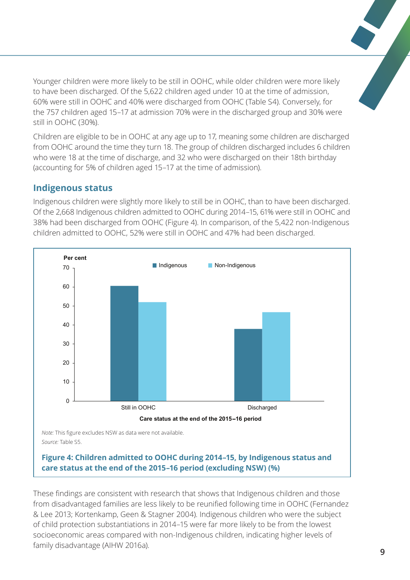Younger children were more likely to be still in OOHC, while older children were more likely to have been discharged. Of the 5,622 children aged under 10 at the time of admission, 60% were still in OOHC and 40% were discharged from OOHC (Table S4). Conversely, for the 757 children aged 15–17 at admission 70% were in the discharged group and 30% were still in OOHC (30%).

Children are eligible to be in OOHC at any age up to 17, meaning some children are discharged from OOHC around the time they turn 18. The group of children discharged includes 6 children who were 18 at the time of discharge, and 32 who were discharged on their 18th birthday (accounting for 5% of children aged 15–17 at the time of admission).

#### **Indigenous status**

Indigenous children were slightly more likely to still be in OOHC, than to have been discharged. Of the 2,668 Indigenous children admitted to OOHC during 2014–15, 61% were still in OOHC and 38% had been discharged from OOHC (Figure 4). In comparison, of the 5,422 non-Indigenous children admitted to OOHC, 52% were still in OOHC and 47% had been discharged.



#### **Figure 4: Children admitted to OOHC during 2014–15, by Indigenous status and care status at the end of the 2015–16 period (excluding NSW) (%)**

These findings are consistent with research that shows that Indigenous children and those from disadvantaged families are less likely to be reunified following time in OOHC (Fernandez & Lee 2013; Kortenkamp, Geen & Stagner 2004). Indigenous children who were the subject of child protection substantiations in 2014–15 were far more likely to be from the lowest socioeconomic areas compared with non-Indigenous children, indicating higher levels of family disadvantage (AIHW 2016a).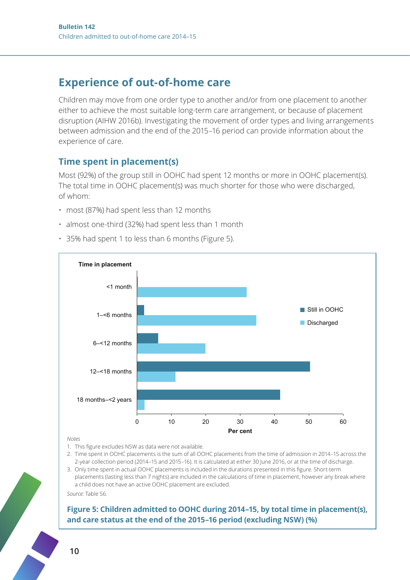### **Experience of out-of-home care**

Children may move from one order type to another and/or from one placement to another either to achieve the most suitable long-term care arrangement, or because of placement disruption (AIHW 2016b). Investigating the movement of order types and living arrangements between admission and the end of the 2015–16 period can provide information about the experience of care.

#### **Time spent in placement(s)**

Most (92%) of the group still in OOHC had spent 12 months or more in OOHC placement(s). The total time in OOHC placement(s) was much shorter for those who were discharged, of whom:

- most (87%) had spent less than 12 months
- almost one-third (32%) had spent less than 1 month
- 35% had spent 1 to less than 6 months (Figure 5).



#### *Notes*

- 1. This figure excludes NSW as data were not available.
- 2. Time spent in OOHC placements is the sum of all OOHC placements from the time of admission in 2014–15 across the 2-year collection period (2014–15 and 2015–16). It is calculated at either 30 June 2016, or at the time of discharge.

3. Only time spent in actual OOHC placements is included in the durations presented in this figure. Short-term placements (lasting less than 7 nights) are included in the calculations of time in placement, however any break where a child does not have an active OOHC placement are excluded.

*Source:* Table S6.

#### **Figure 5: Children admitted to OOHC during 2014–15, by total time in placement(s), and care status at the end of the 2015–16 period (excluding NSW) (%)**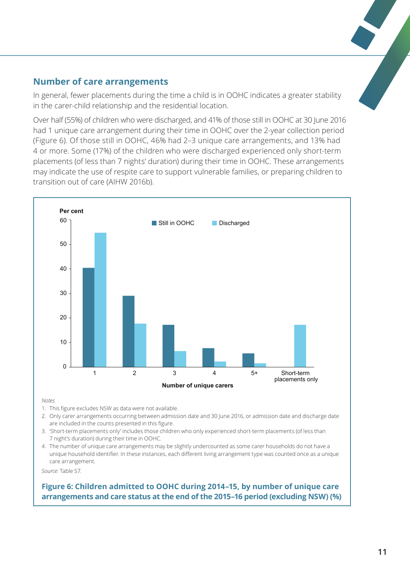#### **Number of care arrangements**

In general, fewer placements during the time a child is in OOHC indicates a greater stability in the carer-child relationship and the residential location.

Over half (55%) of children who were discharged, and 41% of those still in OOHC at 30 June 2016 had 1 unique care arrangement during their time in OOHC over the 2-year collection period (Figure 6). Of those still in OOHC, 46% had 2–3 unique care arrangements, and 13% had 4 or more. Some (17%) of the children who were discharged experienced only short-term placements (of less than 7 nights' duration) during their time in OOHC. These arrangements may indicate the use of respite care to support vulnerable families, or preparing children to transition out of care (AIHW 2016b).



*Notes*

- 1. This figure excludes NSW as data were not available.
- 2. Only carer arrangements occurring between admission date and 30 June 2016, or admission date and discharge date are included in the counts presented in this figure.
- 3. 'Short-term placements only' includes those children who only experienced short-term placements (of less than 7 night's duration) during their time in OOHC.
- 4. The number of unique care arrangements may be slightly undercounted as some carer households do not have a unique household identifier. In these instances, each different living arrangement type was counted once as a unique care arrangement.

*Source:* Table S7.

**Figure 6: Children admitted to OOHC during 2014–15, by number of unique care arrangements and care status at the end of the 2015–16 period (excluding NSW) (%)**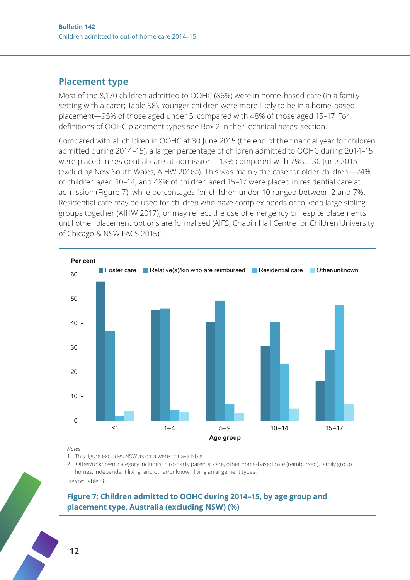#### **Placement type**

Most of the 8,170 children admitted to OOHC (86%) were in home-based care (in a family setting with a carer; Table S8). Younger children were more likely to be in a home-based placement—95% of those aged under 5, compared with 48% of those aged 15–17. For definitions of OOHC placement types see Box 2 in the 'Technical notes' section.

Compared with all children in OOHC at 30 June 2015 (the end of the financial year for children admitted during 2014–15), a larger percentage of children admitted to OOHC during 2014–15 were placed in residential care at admission—13% compared with 7% at 30 June 2015 (excluding New South Wales; AIHW 2016a). This was mainly the case for older children—24% of children aged 10–14, and 48% of children aged 15–17 were placed in residential care at admission (Figure 7), while percentages for children under 10 ranged between 2 and 7%. Residential care may be used for children who have complex needs or to keep large sibling groups together (AIHW 2017), or may reflect the use of emergency or respite placements until other placement options are formalised (AIFS, Chapin Hall Centre for Children University of Chicago & NSW FACS 2015).



*Notes*

1. This figure excludes NSW as data were not available.

2. 'Other/unknown' category includes third-party parental care, other home-based care (reimbursed), family group homes, independent living, and other/unknown living arrangement types.

*Source:* Table S8.

#### **Figure 7: Children admitted to OOHC during 2014–15, by age group and placement type, Australia (excluding NSW) (%)**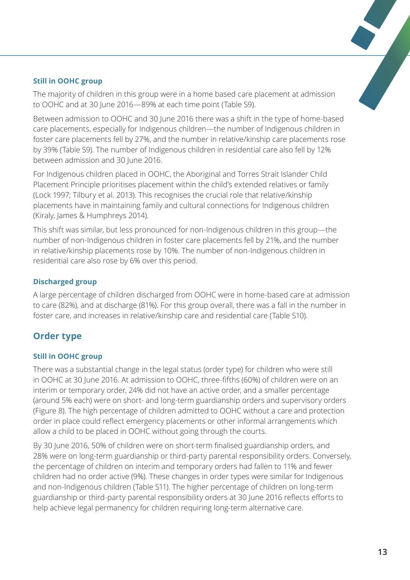#### **Still in OOHC group**

The majority of children in this group were in a home based care placement at admission to OOHC and at 30 June 2016—89% at each time point (Table S9).

Between admission to OOHC and 30 June 2016 there was a shift in the type of home-based care placements, especially for Indigenous children—the number of Indigenous children in foster care placements fell by 27%, and the number in relative/kinship care placements rose by 39% (Table S9). The number of Indigenous children in residential care also fell by 12% between admission and 30 June 2016.

For Indigenous children placed in OOHC, the Aboriginal and Torres Strait Islander Child Placement Principle prioritises placement within the child's extended relatives or family (Lock 1997; Tilbury et al. 2013). This recognises the crucial role that relative/kinship placements have in maintaining family and cultural connections for Indigenous children (Kiraly, James & Humphreys 2014).

This shift was similar, but less pronounced for non-Indigenous children in this group—the number of non-Indigenous children in foster care placements fell by 21%, and the number in relative/kinship placements rose by 10%. The number of non-Indigenous children in residential care also rose by 6% over this period.

#### **Discharged group**

A large percentage of children discharged from OOHC were in home-based care at admission to care (82%), and at discharge (81%). For this group overall, there was a fall in the number in foster care, and increases in relative/kinship care and residential care (Table S10).

### **Order type**

#### **Still in OOHC group**

There was a substantial change in the legal status (order type) for children who were still in OOHC at 30 June 2016. At admission to OOHC, three-fifths (60%) of children were on an interim or temporary order, 24% did not have an active order, and a smaller percentage (around 5% each) were on short- and long-term guardianship orders and supervisory orders (Figure 8). The high percentage of children admitted to OOHC without a care and protection order in place could reflect emergency placements or other informal arrangements which allow a child to be placed in OOHC without going through the courts.

By 30 June 2016, 50% of children were on short-term finalised guardianship orders, and 28% were on long-term guardianship or third-party parental responsibility orders. Conversely, the percentage of children on interim and temporary orders had fallen to 11% and fewer children had no order active (9%). These changes in order types were similar for Indigenous and non-Indigenous children (Table S11). The higher percentage of children on long-term guardianship or third-party parental responsibility orders at 30 June 2016 reflects efforts to help achieve legal permanency for children requiring long-term alternative care.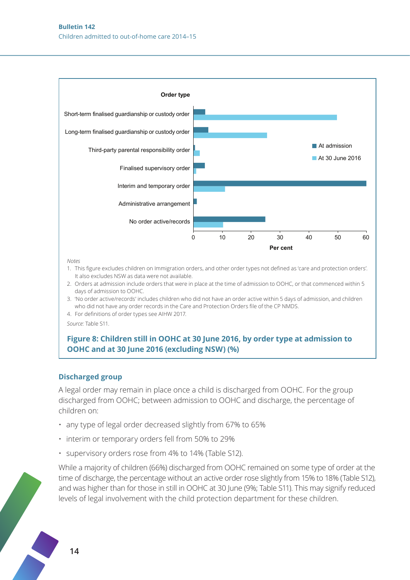

*Notes*

- 1. This figure excludes children on Immigration orders, and other order types not defined as 'care and protection orders'. It also excludes NSW as data were not available.
- 2. Orders at admission include orders that were in place at the time of admission to OOHC, or that commenced within 5 days of admission to OOHC.
- 3. 'No order active/records' includes children who did not have an order active within 5 days of admission, and children who did not have any order records in the Care and Protection Orders file of the CP NMDS.
- 4. For definitions of order types see AIHW 2017.

*Source:* Table S11.

#### **Figure 8: Children still in OOHC at 30 June 2016, by order type at admission to OOHC and at 30 June 2016 (excluding NSW) (%)**

#### **Discharged group**

A legal order may remain in place once a child is discharged from OOHC. For the group discharged from OOHC; between admission to OOHC and discharge, the percentage of children on:

- any type of legal order decreased slightly from 67% to 65%
- interim or temporary orders fell from 50% to 29%
- supervisory orders rose from 4% to 14% (Table S12).

While a majority of children (66%) discharged from OOHC remained on some type of order at the time of discharge, the percentage without an active order rose slightly from 15% to 18% (Table S12), and was higher than for those in still in OOHC at 30 June (9%; Table S11). This may signify reduced levels of legal involvement with the child protection department for these children.

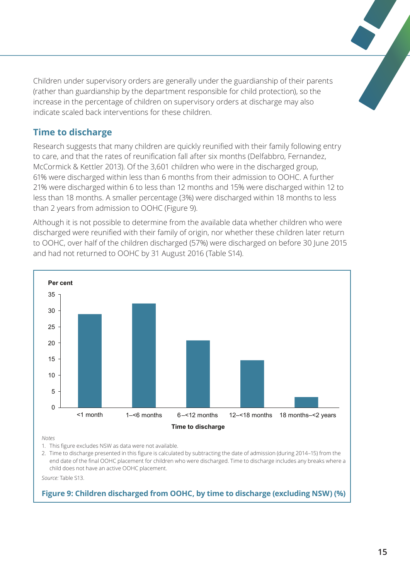Children under supervisory orders are generally under the guardianship of their parents (rather than guardianship by the department responsible for child protection), so the increase in the percentage of children on supervisory orders at discharge may also indicate scaled back interventions for these children.

#### **Time to discharge**

Research suggests that many children are quickly reunified with their family following entry to care, and that the rates of reunification fall after six months (Delfabbro, Fernandez, McCormick & Kettler 2013). Of the 3,601 children who were in the discharged group, 61% were discharged within less than 6 months from their admission to OOHC. A further 21% were discharged within 6 to less than 12 months and 15% were discharged within 12 to less than 18 months. A smaller percentage (3%) were discharged within 18 months to less than 2 years from admission to OOHC (Figure 9).

Although it is not possible to determine from the available data whether children who were discharged were reunified with their family of origin, nor whether these children later return to OOHC, over half of the children discharged (57%) were discharged on before 30 June 2015 and had not returned to OOHC by 31 August 2016 (Table S14).



*Notes*

1. This figure excludes NSW as data were not available.

2. Time to discharge presented in this figure is calculated by subtracting the date of admission (during 2014–15) from the end date of the final OOHC placement for children who were discharged. Time to discharge includes any breaks where a child does not have an active OOHC placement.

*Source:* Table S13.

#### **Figure 9: Children discharged from OOHC, by time to discharge (excluding NSW) (%)**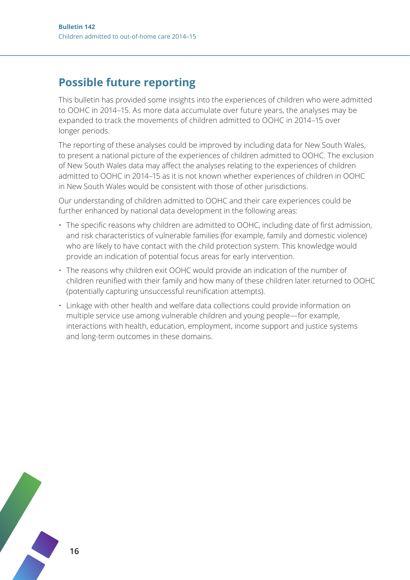### **Possible future reporting**

This bulletin has provided some insights into the experiences of children who were admitted to OOHC in 2014–15. As more data accumulate over future years, the analyses may be expanded to track the movements of children admitted to OOHC in 2014–15 over longer periods.

The reporting of these analyses could be improved by including data for New South Wales, to present a national picture of the experiences of children admitted to OOHC. The exclusion of New South Wales data may affect the analyses relating to the experiences of children admitted to OOHC in 2014–15 as it is not known whether experiences of children in OOHC in New South Wales would be consistent with those of other jurisdictions.

Our understanding of children admitted to OOHC and their care experiences could be further enhanced by national data development in the following areas:

- The specific reasons why children are admitted to OOHC, including date of first admission, and risk characteristics of vulnerable families (for example, family and domestic violence) who are likely to have contact with the child protection system. This knowledge would provide an indication of potential focus areas for early intervention.
- The reasons why children exit OOHC would provide an indication of the number of children reunified with their family and how many of these children later returned to OOHC (potentially capturing unsuccessful reunification attempts).
- Linkage with other health and welfare data collections could provide information on multiple service use among vulnerable children and young people—for example, interactions with health, education, employment, income support and justice systems and long-term outcomes in these domains.

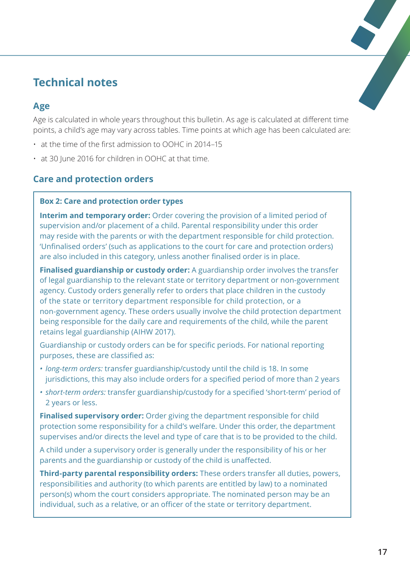### **Technical notes**

#### **Age**

Age is calculated in whole years throughout this bulletin. As age is calculated at different time points, a child's age may vary across tables. Time points at which age has been calculated are:

- at the time of the first admission to OOHC in 2014–15
- at 30 June 2016 for children in OOHC at that time.

### **Care and protection orders**

#### **Box 2: Care and protection order types**

**Interim and temporary order:** Order covering the provision of a limited period of supervision and/or placement of a child. Parental responsibility under this order may reside with the parents or with the department responsible for child protection. 'Unfinalised orders' (such as applications to the court for care and protection orders) are also included in this category, unless another finalised order is in place.

**Finalised guardianship or custody order:** A guardianship order involves the transfer of legal guardianship to the relevant state or territory department or non-government agency. Custody orders generally refer to orders that place children in the custody of the state or territory department responsible for child protection, or a non-government agency. These orders usually involve the child protection department being responsible for the daily care and requirements of the child, while the parent retains legal guardianship (AIHW 2017).

Guardianship or custody orders can be for specific periods. For national reporting purposes, these are classified as:

- *• long-term orders:* transfer guardianship/custody until the child is 18. In some jurisdictions, this may also include orders for a specified period of more than 2 years
- *• short-term orders:* transfer guardianship/custody for a specified 'short-term' period of 2 years or less.

**Finalised supervisory order:** Order giving the department responsible for child protection some responsibility for a child's welfare. Under this order, the department supervises and/or directs the level and type of care that is to be provided to the child.

A child under a supervisory order is generally under the responsibility of his or her parents and the guardianship or custody of the child is unaffected.

**Third-party parental responsibility orders:** These orders transfer all duties, powers, responsibilities and authority (to which parents are entitled by law) to a nominated person(s) whom the court considers appropriate. The nominated person may be an individual, such as a relative, or an officer of the state or territory department.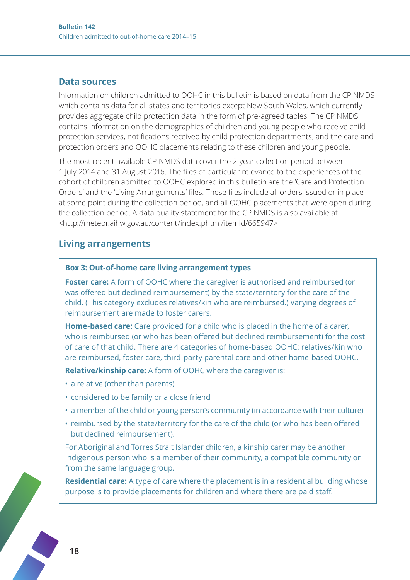#### **Data sources**

Information on children admitted to OOHC in this bulletin is based on data from the CP NMDS which contains data for all states and territories except New South Wales, which currently provides aggregate child protection data in the form of pre-agreed tables. The CP NMDS contains information on the demographics of children and young people who receive child protection services, notifications received by child protection departments, and the care and protection orders and OOHC placements relating to these children and young people.

The most recent available CP NMDS data cover the 2-year collection period between 1 July 2014 and 31 August 2016. The files of particular relevance to the experiences of the cohort of children admitted to OOHC explored in this bulletin are the 'Care and Protection Orders' and the 'Living Arrangements' files. These files include all orders issued or in place at some point during the collection period, and all OOHC placements that were open during the collection period. A data quality statement for the CP NMDS is also available at <http://meteor.aihw.gov.au/content/index.phtml/itemId/665947>

#### **Living arrangements**

#### **Box 3: Out-of-home care living arrangement types**

**Foster care:** A form of OOHC where the caregiver is authorised and reimbursed (or was offered but declined reimbursement) by the state/territory for the care of the child. (This category excludes relatives/kin who are reimbursed.) Varying degrees of reimbursement are made to foster carers.

**Home-based care:** Care provided for a child who is placed in the home of a carer, who is reimbursed (or who has been offered but declined reimbursement) for the cost of care of that child. There are 4 categories of home-based OOHC: relatives/kin who are reimbursed, foster care, third-party parental care and other home-based OOHC.

**Relative/kinship care:** A form of OOHC where the caregiver is:

- a relative (other than parents)
- considered to be family or a close friend
- a member of the child or young person's community (in accordance with their culture)
- reimbursed by the state/territory for the care of the child (or who has been offered but declined reimbursement).

For Aboriginal and Torres Strait Islander children, a kinship carer may be another Indigenous person who is a member of their community, a compatible community or from the same language group.

**Residential care:** A type of care where the placement is in a residential building whose purpose is to provide placements for children and where there are paid staff.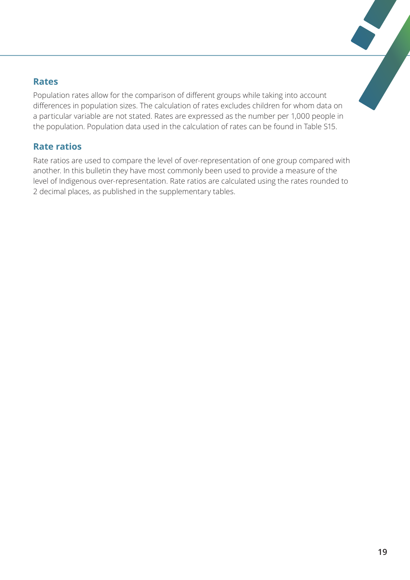#### **Rates**

Population rates allow for the comparison of different groups while taking into account differences in population sizes. The calculation of rates excludes children for whom data on a particular variable are not stated. Rates are expressed as the number per 1,000 people in the population. Population data used in the calculation of rates can be found in Table S15.

#### **Rate ratios**

Rate ratios are used to compare the level of over-representation of one group compared with another. In this bulletin they have most commonly been used to provide a measure of the level of Indigenous over-representation. Rate ratios are calculated using the rates rounded to 2 decimal places, as published in the supplementary tables.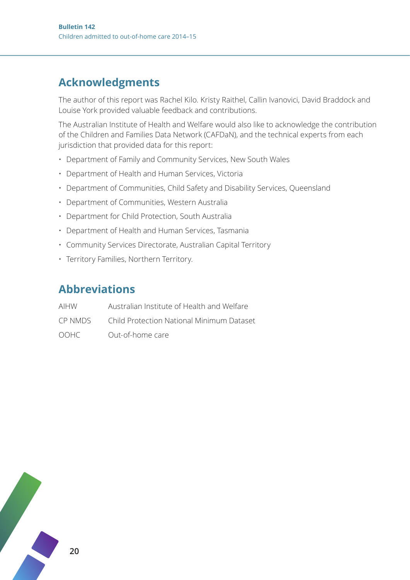## **Acknowledgments**

The author of this report was Rachel Kilo. Kristy Raithel, Callin Ivanovici, David Braddock and Louise York provided valuable feedback and contributions.

The Australian Institute of Health and Welfare would also like to acknowledge the contribution of the Children and Families Data Network (CAFDaN), and the technical experts from each jurisdiction that provided data for this report:

- Department of Family and Community Services, New South Wales
- Department of Health and Human Services, Victoria
- Department of Communities, Child Safety and Disability Services, Queensland
- Department of Communities, Western Australia
- Department for Child Protection, South Australia
- Department of Health and Human Services, Tasmania
- Community Services Directorate, Australian Capital Territory
- Territory Families, Northern Territory.

### **Abbreviations**

| AIHW    | Australian Institute of Health and Welfare |
|---------|--------------------------------------------|
| CP NMDS | Child Protection National Minimum Dataset  |
| OOHC    | Out-of-home care                           |

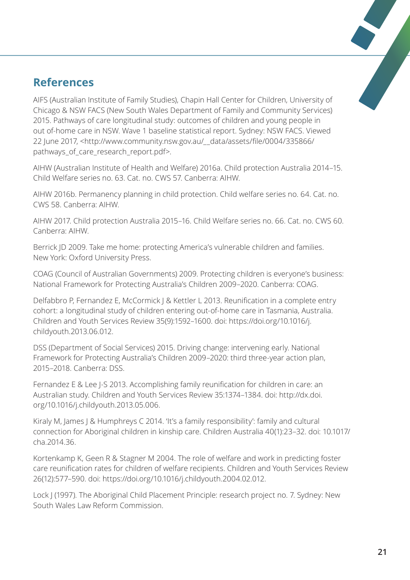### **References**

AIFS (Australian Institute of Family Studies), Chapin Hall Center for Children, University of Chicago & NSW FACS (New South Wales Department of Family and Community Services) 2015. Pathways of care longitudinal study: outcomes of children and young people in out of-home care in NSW. Wave 1 baseline statistical report. Sydney: NSW FACS. Viewed 22 June 2017, <http://www.community.nsw.gov.au/\_\_data/assets/file/0004/335866/ pathways\_of\_care\_research\_report.pdf>.

AIHW (Australian Institute of Health and Welfare) 2016a. Child protection Australia 2014–15. Child Welfare series no. 63. Cat. no. CWS 57. Canberra: AIHW.

AIHW 2016b. Permanency planning in child protection. Child welfare series no. 64. Cat. no. CWS 58. Canberra: AIHW.

AIHW 2017. Child protection Australia 2015–16. Child Welfare series no. 66. Cat. no. CWS 60. Canberra: AIHW.

Berrick JD 2009. Take me home: protecting America's vulnerable children and families. New York: Oxford University Press.

COAG (Council of Australian Governments) 2009. Protecting children is everyone's business: National Framework for Protecting Australia's Children 2009–2020. Canberra: COAG.

Delfabbro P, Fernandez E, McCormick J & Kettler L 2013. Reunification in a complete entry cohort: a longitudinal study of children entering out-of-home care in Tasmania, Australia. Children and Youth Services Review 35(9):1592–1600. doi: https://doi.org/10.1016/j. childyouth.2013.06.012.

DSS (Department of Social Services) 2015. Driving change: intervening early. National Framework for Protecting Australia's Children 2009–2020: third three-year action plan, 2015–2018. Canberra: DSS.

Fernandez E & Lee J-S 2013. Accomplishing family reunification for children in care: an Australian study. Children and Youth Services Review 35:1374–1384. doi: http://dx.doi. org/10.1016/j.childyouth.2013.05.006.

Kiraly M, James J & Humphreys C 2014. 'It's a family responsibility': family and cultural connection for Aboriginal children in kinship care. Children Australia 40(1):23–32. doi: 10.1017/ cha.2014.36.

Kortenkamp K, Geen R & Stagner M 2004. The role of welfare and work in predicting foster care reunification rates for children of welfare recipients. Children and Youth Services Review 26(12):577–590. doi: https://doi.org/10.1016/j.childyouth.2004.02.012.

Lock J (1997). The Aboriginal Child Placement Principle: research project no. 7. Sydney: New South Wales Law Reform Commission.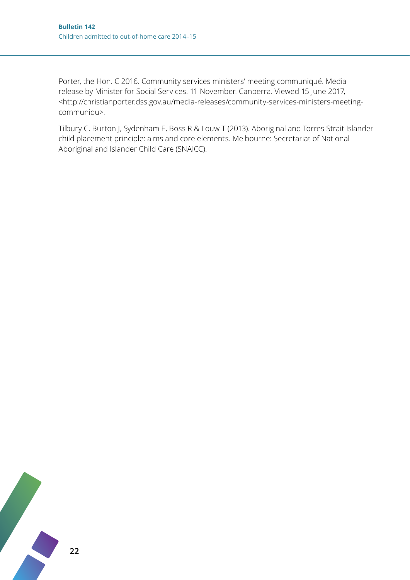Porter, the Hon. C 2016. Community services ministers' meeting communiqué. Media release by Minister for Social Services. 11 November. Canberra. Viewed 15 June 2017, <http://christianporter.dss.gov.au/media-releases/community-services-ministers-meetingcommuniqu>.

Tilbury C, Burton J, Sydenham E, Boss R & Louw T (2013). Aboriginal and Torres Strait Islander child placement principle: aims and core elements. Melbourne: Secretariat of National Aboriginal and Islander Child Care (SNAICC).

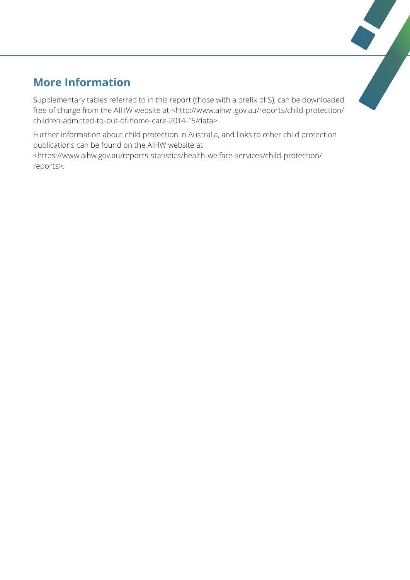## **More Information**

Supplementary tables referred to in this report (those with a prefix of S), can be downloaded free of charge from the AIHW website at <http://www.aihw .gov.au/reports/child-protection/ children-admitted-to-out-of-home-care-2014-15/data>.

Further information about child protection in Australia, and links to other child protection publications can be found on the AIHW website at <https://www.aihw.gov.au/reports-statistics/health-welfare-services/child-protection/ reports>.